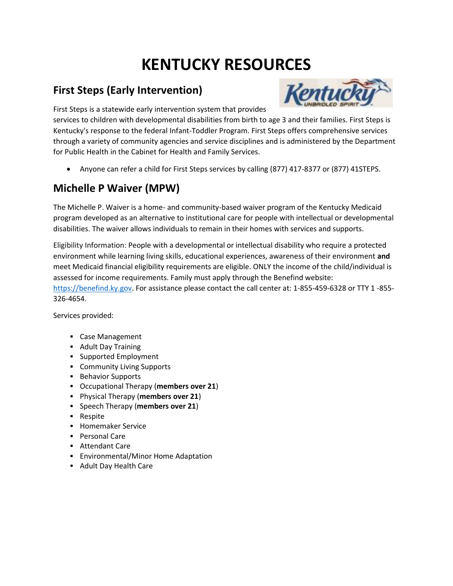# **KENTUCKY RESOURCES**

### **First Steps (Early Intervention)**



First Steps is a statewide early intervention system that provides

services to children with developmental disabilities from birth to age 3 and their families. First Steps is Kentucky's response to the federal Infant-Toddler Program. First Steps offers comprehensive services through a variety of community agencies and service disciplines and is administered by the Department for Public Health in the Cabinet for Health and Family Services.

Anyone can refer a child for First Steps services by calling (877) 417-8377 or (877) 41STEPS.

### **Michelle P Waiver (MPW)**

The Michelle P. Waiver is a home- and community-based waiver program of the Kentucky Medicaid program developed as an alternative to institutional care for people with intellectual or developmental disabilities. The waiver allows individuals to remain in their homes with services and supports.

Eligibility Information: People with a developmental or intellectual disability who require a protected environment while learning living skills, educational experiences, awareness of their environment **and**  meet Medicaid financial eligibility requirements are eligible. ONLY the income of the child/individual is assessed for income requirements. Family must apply through the Benefind website:

[https://benefind.ky.gov.](https://benefind.ky.gov/) For assistance please contact the call center at: 1-855-459-6328 or TTY 1 -855- 326-4654.

Services provided:

- Case Management
- **Adult Day Training**
- Supported Employment
- **Community Living Supports**
- **Behavior Supports**
- Occupational Therapy (**members over 21**)
- Physical Therapy (**members over 21**)
- **Speech Therapy (members over 21)**
- **Respite**
- **Homemaker Service**
- **Personal Care**
- Attendant Care
- **Environmental/Minor Home Adaptation**
- Adult Day Health Care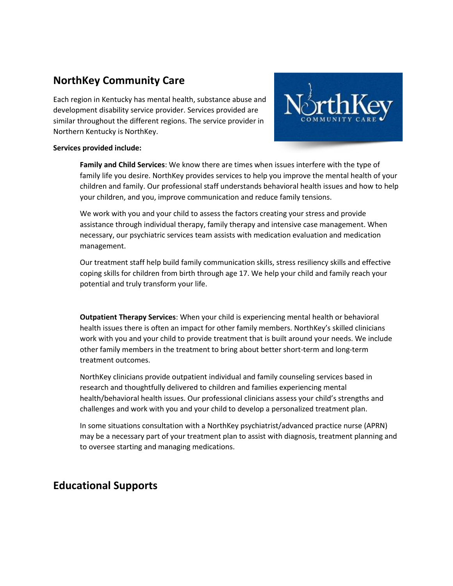### **NorthKey Community Care**

Each region in Kentucky has mental health, substance abuse and development disability service provider. Services provided are similar throughout the different regions. The service provider in Northern Kentucky is NorthKey.



#### **Services provided include:**

**Family and Child Services**: We know there are times when issues interfere with the type of family life you desire. NorthKey provides services to help you improve the mental health of your children and family. Our professional staff understands behavioral health issues and how to help your children, and you, improve communication and reduce family tensions.

We work with you and your child to assess the factors creating your stress and provide assistance through individual therapy, family therapy and intensive case management. When necessary, our psychiatric services team assists with medication evaluation and medication management.

Our treatment staff help build family communication skills, stress resiliency skills and effective coping skills for children from birth through age 17. We help your child and family reach your potential and truly transform your life.

**Outpatient Therapy Services**: When your child is experiencing mental health or behavioral health issues there is often an impact for other family members. NorthKey's skilled clinicians work with you and your child to provide treatment that is built around your needs. We include other family members in the treatment to bring about better short-term and long-term treatment outcomes.

NorthKey clinicians provide outpatient individual and family counseling services based in research and thoughtfully delivered to children and families experiencing mental health/behavioral health issues. Our professional clinicians assess your child's strengths and challenges and work with you and your child to develop a personalized treatment plan.

In some situations consultation with a NorthKey psychiatrist/advanced practice nurse (APRN) may be a necessary part of your treatment plan to assist with diagnosis, treatment planning and to oversee starting and managing medications.

### **Educational Supports**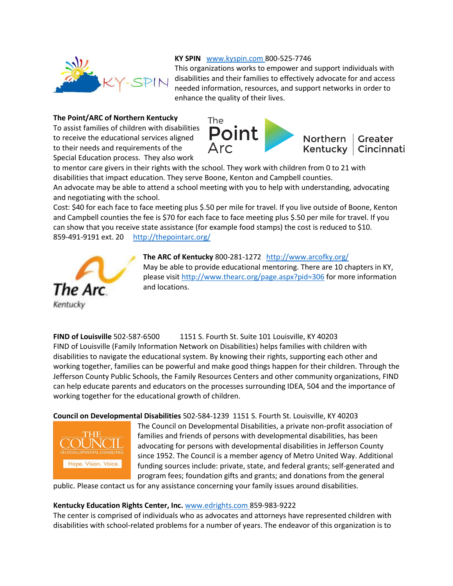

#### **KY SPIN** [www.kyspin.com](http://www.kyspin.com/) 800-525-7746

This organizations works to empower and support individuals with disabilities and their families to effectively advocate for and access needed information, resources, and support networks in order to enhance the quality of their lives.

#### **The Point/ARC of Northern Kentucky**

To assist families of children with disabilities to receive the educational services aligned to their needs and requirements of the Special Education process. They also work



to mentor care givers in their rights with the school. They work with children from 0 to 21 with disabilities that impact education. They serve Boone, Kenton and Campbell counties.

An advocate may be able to attend a school meeting with you to help with understanding, advocating and negotiating with the school.

Cost: \$40 for each face to face meeting plus \$.50 per mile for travel. If you live outside of Boone, Kenton and Campbell counties the fee is \$70 for each face to face meeting plus \$.50 per mile for travel. If you can show that you receive state assistance (for example food stamps) the cost is reduced to \$10. 859-491-9191 ext. 20 <http://thepointarc.org/>



**The ARC of Kentucky** 800-281-1272 <http://www.arcofky.org/> May be able to provide educational mentoring. There are 10 chapters in KY, please visit<http://www.thearc.org/page.aspx?pid=306> for more information and locations.

**FIND of Louisville** 502-587-6500 1151 S. Fourth St. Suite 101 Louisville, KY 40203 FIND of Louisville (Family Information Network on Disabilities) helps families with children with disabilities to navigate the educational system. By knowing their rights, supporting each other and working together, families can be powerful and make good things happen for their children. Through the Jefferson County Public Schools, the Family Resources Centers and other community organizations, FIND can help educate parents and educators on the processes surrounding IDEA, 504 and the importance of working together for the educational growth of children.

**Council on Developmental Disabilities** 502-584-1239 1151 S. Fourth St. Louisville, KY 40203



The Council on Developmental Disabilities, a private non-profit association of families and friends of persons with developmental disabilities, has been advocating for persons with developmental disabilities in Jefferson County since 1952. The Council is a member agency of Metro United Way. Additional funding sources include: private, state, and federal grants; self-generated and program fees; foundation gifts and grants; and donations from the general

public. Please contact us for any assistance concerning your family issues around disabilities.

#### **Kentucky Education Rights Center, Inc.** [www.edrights.com](http://www.edrights.com/) 859-983-9222

The center is comprised of individuals who as advocates and attorneys have represented children with disabilities with school-related problems for a number of years. The endeavor of this organization is to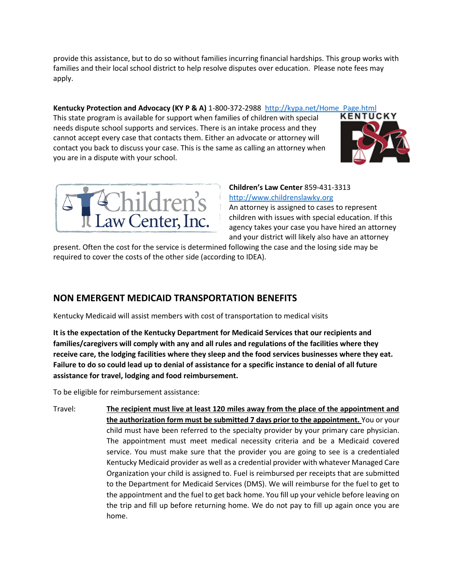provide this assistance, but to do so without families incurring financial hardships. This group works with families and their local school district to help resolve disputes over education. Please note fees may apply.

## **Kentucky Protection and Advocacy (KY P & A)** 1-800-372-2988 [http://kypa.net/Home\\_Page.html](http://kypa.net/Home_Page.html)<br>This state program is available for support when families of children with special **KENTUCKY**

This state program is available for support when families of children with special needs dispute school supports and services. There is an intake process and they cannot accept every case that contacts them. Either an advocate or attorney will contact you back to discuss your case. This is the same as calling an attorney when you are in a dispute with your school.





#### **Children's Law Center** 859-431-3313 [http://www.childrenslawky.org](http://www.childrenslawky.org/)

An attorney is assigned to cases to represent children with issues with special education. If this agency takes your case you have hired an attorney and your district will likely also have an attorney

present. Often the cost for the service is determined following the case and the losing side may be required to cover the costs of the other side (according to IDEA).

#### **NON EMERGENT MEDICAID TRANSPORTATION BENEFITS**

Kentucky Medicaid will assist members with cost of transportation to medical visits

**It is the expectation of the Kentucky Department for Medicaid Services that our recipients and families/caregivers will comply with any and all rules and regulations of the facilities where they receive care, the lodging facilities where they sleep and the food services businesses where they eat. Failure to do so could lead up to denial of assistance for a specific instance to denial of all future assistance for travel, lodging and food reimbursement.**

To be eligible for reimbursement assistance:

Travel: **The recipient must live at least 120 miles away from the place of the appointment and the authorization form must be submitted 7 days prior to the appointment.** You or your child must have been referred to the specialty provider by your primary care physician. The appointment must meet medical necessity criteria and be a Medicaid covered service. You must make sure that the provider you are going to see is a credentialed Kentucky Medicaid provider as well as a credential provider with whatever Managed Care Organization your child is assigned to. Fuel is reimbursed per receipts that are submitted to the Department for Medicaid Services (DMS). We will reimburse for the fuel to get to the appointment and the fuel to get back home. You fill up your vehicle before leaving on the trip and fill up before returning home. We do not pay to fill up again once you are home.